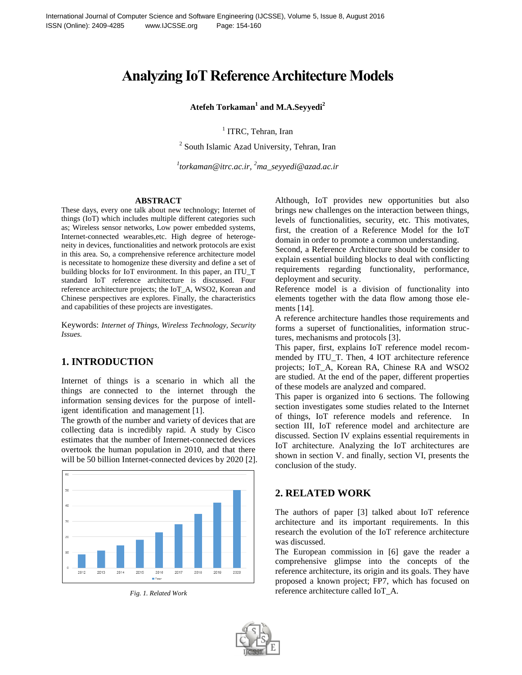# **Analyzing IoT Reference Architecture Models**

#### **Atefeh Torkaman<sup>1</sup> and M.A.Seyyedi<sup>2</sup>**

<sup>1</sup> ITRC, Tehran, Iran

<sup>2</sup> South Islamic Azad University, Tehran, Iran

*1 torkaman@itrc.ac.ir, <sup>2</sup>ma\_seyyedi@azad.ac.ir*

#### **ABSTRACT**

These days, every one talk about new technology; Internet of things (IoT) which includes multiple different categories such as; Wireless sensor networks, Low power embedded systems, Internet-connected wearables,etc. High degree of heterogeneity in devices, functionalities and network protocols are exist in this area. So, a comprehensive reference architecture model is necessitate to homogenize these diversity and define a set of building blocks for IoT environment. In this paper, an ITU\_T standard IoT reference architecture is discussed. Four reference architecture projects; the IoT\_A, WSO2, Korean and Chinese perspectives are explores. Finally, the characteristics and capabilities of these projects are investigates.

Keywords: *Internet of Things, Wireless Technology, Security Issues.*

## **1. INTRODUCTION**

Internet of things is a scenario in which all the things are connected to the internet through the information sensing devices for the purpose of intelligent identification and management [1].

The growth of the number and variety of devices that are collecting data is incredibly rapid. A study by Cisco estimates that the number of Internet-connected devices overtook the human population in 2010, and that there will be 50 billion Internet-connected devices by 2020 [2].



*Fig. 1. Related Work*

Although, IoT provides new opportunities but also brings new challenges on the interaction between things, levels of functionalities, security, etc. This motivates, first, the creation of a Reference Model for the IoT domain in order to promote a common understanding.

Second, a Reference Architecture should be consider to explain essential building blocks to deal with conflicting requirements regarding functionality, performance, deployment and security.

Reference model is a division of functionality into elements together with the data flow among those elements [14].

A reference architecture handles those requirements and forms a superset of functionalities, information structures, mechanisms and protocols [3].

This paper, first, explains IoT reference model recommended by ITU\_T. Then, 4 IOT architecture reference projects; IoT\_A, Korean RA, Chinese RA and WSO2 are studied. At the end of the paper, different properties of these models are analyzed and compared.

This paper is organized into 6 sections. The following section investigates some studies related to the Internet of things, IoT reference models and reference. In section III, IoT reference model and architecture are discussed. Section IV explains essential requirements in IoT architecture. Analyzing the IoT architectures are shown in section V. and finally, section VI, presents the conclusion of the study.

## **2. RELATED WORK**

The authors of paper [3] talked about IoT reference architecture and its important requirements. In this research the evolution of the IoT reference architecture was discussed.

The European commission in [6] gave the reader a comprehensive glimpse into the concepts of the reference architecture, its origin and its goals. They have proposed a known project; FP7, which has focused on reference architecture called IoT\_A.

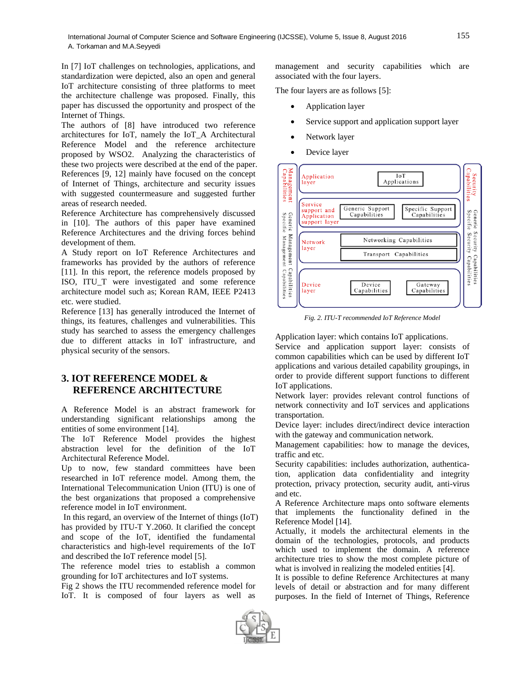In [7] IoT challenges on technologies, applications, and standardization were depicted, also an open and general IoT architecture consisting of three platforms to meet the architecture challenge was proposed. Finally, this paper has discussed the opportunity and prospect of the Internet of Things.

The authors of [8] have introduced two reference architectures for IoT, namely the IoT\_A Architectural Reference Model and the reference architecture proposed by WSO2. Analyzing the characteristics of these two projects were described at the end of the paper. References [9, 12] mainly have focused on the concept of Internet of Things, architecture and security issues with suggested countermeasure and suggested further areas of research needed.

Reference Architecture has comprehensively discussed in [10]. The authors of this paper have examined Reference Architectures and the driving forces behind development of them.

A Study report on IoT Reference Architectures and frameworks has provided by the authors of reference [11]. In this report, the reference models proposed by ISO, ITU\_T were investigated and some reference architecture model such as; Korean RAM, IEEE P2413 etc. were studied.

Reference [13] has generally introduced the Internet of things, its features, challenges and vulnerabilities. This study has searched to assess the emergency challenges due to different attacks in IoT infrastructure, and physical security of the sensors.

# **3. IOT REFERENCE MODEL & REFERENCE ARCHITECTURE**

A Reference Model is an abstract framework for understanding significant relationships among the entities of some environment [14].

The IoT Reference Model provides the highest abstraction level for the definition of the IoT Architectural Reference Model.

Up to now, few standard committees have been researched in IoT reference model. Among them, the International Telecommunication Union (ITU) is one of the best organizations that proposed a comprehensive reference model in IoT environment.

In this regard, an overview of the Internet of things (IoT) has provided by ITU-T Y.2060. It clarified the concept and scope of the IoT, identified the fundamental characteristics and high-level requirements of the IoT and described the IoT reference model [5].

The reference model tries to establish a common grounding for IoT architectures and IoT systems.

Fig 2 shows the ITU recommended reference model for IoT. It is composed of four layers as well as

management and security capabilities which are associated with the four layers.

The four layers are as follows [5]:

- Application layer
- Service support and application support layer
- Network layer
- Device layer



*Fig. 2. ITU-T recommended IoT Reference Model*

Application layer: which contains IoT applications.

Service and application support layer: consists of common capabilities which can be used by different IoT applications and various detailed capability groupings, in order to provide different support functions to different IoT applications.

Network layer: provides relevant control functions of network connectivity and IoT services and applications transportation.

Device layer: includes direct/indirect device interaction with the gateway and communication network.

Management capabilities: how to manage the devices, traffic and etc.

Security capabilities: includes authorization, authentication, application data confidentiality and integrity protection, privacy protection, security audit, anti-virus and etc.

A Reference Architecture maps onto software elements that implements the functionality defined in the Reference Model [14].

Actually, it models the architectural elements in the domain of the technologies, protocols, and products which used to implement the domain. A reference architecture tries to show the most complete picture of what is involved in realizing the modeled entities [4].

It is possible to define Reference Architectures at many levels of detail or abstraction and for many different purposes. In the field of Internet of Things, Reference

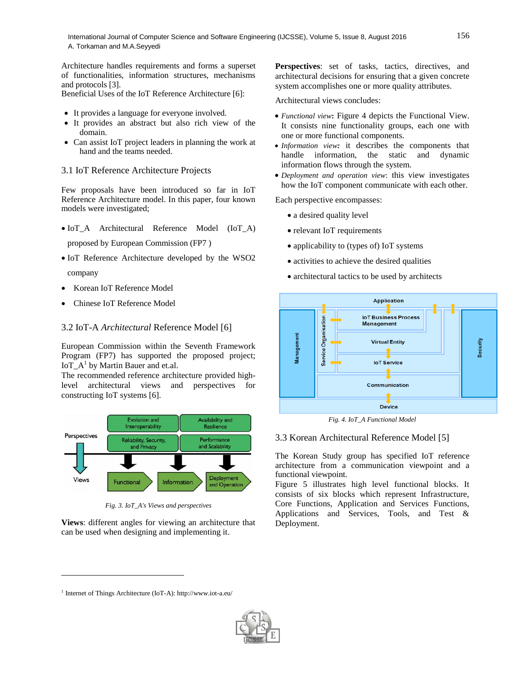Architecture handles requirements and forms a superset of functionalities, information structures, mechanisms and protocols [3].

Beneficial Uses of the IoT Reference Architecture [6]:

- It provides a language for everyone involved.
- It provides an abstract but also rich view of the domain.
- Can assist IoT project leaders in planning the work at hand and the teams needed.

#### 3.1 IoT Reference Architecture Projects

Few proposals have been introduced so far in IoT Reference Architecture model. In this paper, four known models were investigated;

- IoT\_A Architectural Reference Model (IoT\_A)
	- proposed by European Commission (FP7 )
- IoT Reference Architecture developed by the WSO2 company
- Korean IoT Reference Model
- Chinese IoT Reference Model

#### 3.2 IoT-A *Architectural* Reference Model [6]

European Commission within the Seventh Framework Program (FP7) has supported the proposed project;  $IoT_A^1$  by Martin Bauer and et.al.

The recommended reference architecture provided highlevel architectural views and perspectives for constructing IoT systems [6].



*Fig. 3. IoT\_A's Views and perspectives*

**Views**: different angles for viewing an architecture that can be used when designing and implementing it.

Perspectives: set of tasks, tactics, directives, and architectural decisions for ensuring that a given concrete system accomplishes one or more quality attributes.

Architectural views concludes:

- *Functional view***:** Figure 4 depicts the Functional View. It consists nine functionality groups, each one with one or more functional components.
- *Information view:* it describes the components that handle information, the static and dynamic information flows through the system.
- *Deployment and operation view*: this view investigates how the IoT component communicate with each other.

Each perspective encompasses:

- a desired quality level
- relevant IoT requirements
- applicability to (types of) IoT systems
- activities to achieve the desired qualities
- architectural tactics to be used by architects



*Fig. 4. IoT\_A Functional Model*

#### 3.3 Korean Architectural Reference Model [5]

The Korean Study group has specified IoT reference architecture from a communication viewpoint and a functional viewpoint.

Figure 5 illustrates high level functional blocks. It consists of six blocks which represent Infrastructure, Core Functions, Application and Services Functions, Applications and Services, Tools, and Test & Deployment.

 $\overline{\phantom{a}}$ 



<sup>1</sup> Internet of Things Architecture (IoT-A): http://www.iot-a.eu/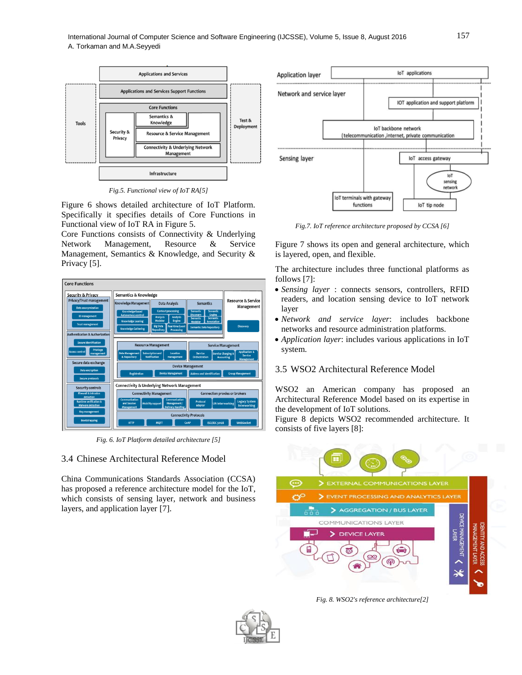

*Fig.5. Functional view of IoT RA[5]*

Figure 6 shows detailed architecture of IoT Platform. Specifically it specifies details of Core Functions in Functional view of IoT RA in Figure 5.

Core Functions consists of Connectivity & Underlying Network Management, Resource & Service Management, Semantics & Knowledge, and Security & Privacy [5].



*Fig. 6. IoT Platform detailed architecture [5]*

3.4 Chinese Architectural Reference Model

China Communications Standards Association (CCSA) has proposed a reference architecture model for the IoT, which consists of sensing layer, network and business layers, and application layer [7].



*Fig.7. IoT reference architecture proposed by CCSA [6]*

Figure 7 shows its open and general architecture, which is layered, open, and flexible.

The architecture includes three functional platforms as follows [7]:

- *Sensing layer* : connects sensors, controllers, RFID readers, and location sensing device to IoT network layer
- *Network and service layer*: includes backbone networks and resource administration platforms.
- *Application layer*: includes various applications in IoT system.

#### 3.5 WSO2 Architectural Reference Model

WSO2 an American company has proposed an Architectural Reference Model based on its expertise in the development of IoT solutions.

Figure 8 depicts WSO2 recommended architecture. It consists of five layers [8]:



*Fig. 8. WSO2's reference architecture[2]*

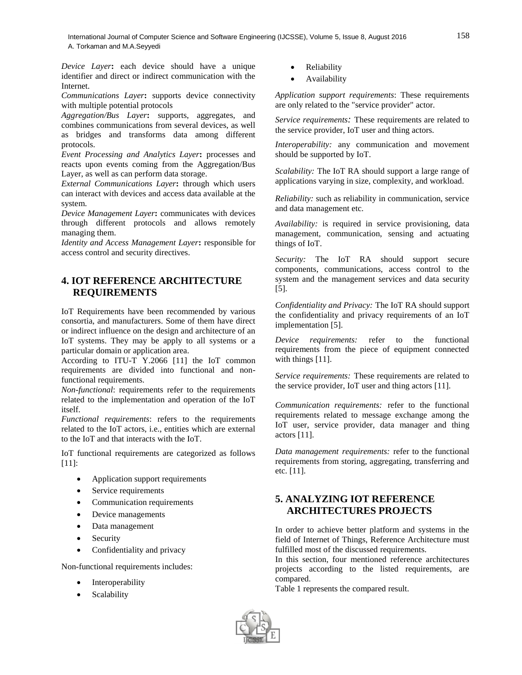International Journal of Computer Science and Software Engineering (IJCSSE), Volume 5, Issue 8, August 2016 158 A. Torkaman and M.A.Seyyedi

*Device Layer***:** each device should have a unique identifier and direct or indirect communication with the Internet.

*Communications Layer***:** supports device connectivity with multiple potential protocols

*Aggregation/Bus Layer***:** supports, aggregates, and combines communications from several devices, as well as bridges and transforms data among different protocols.

*Event Processing and Analytics Layer***:** processes and reacts upon events coming from the Aggregation/Bus Layer, as well as can perform data storage.

*External Communications Layer***:** through which users can interact with devices and access data available at the system.

*Device Management Layer***:** communicates with devices through different protocols and allows remotely managing them.

*Identity and Access Management Layer***:** responsible for access control and security directives.

# **4. IOT REFERENCE ARCHITECTURE REQUIREMENTS**

IoT Requirements have been recommended by various consortia, and manufacturers. Some of them have direct or indirect influence on the design and architecture of an IoT systems. They may be apply to all systems or a particular domain or application area.

According to ITU-T Y.2066 [11] the IoT common requirements are divided into functional and nonfunctional requirements.

*Non-functional*: requirements refer to the requirements related to the implementation and operation of the IoT itself.

*Functional requirements*: refers to the requirements related to the IoT actors, i.e., entities which are external to the IoT and that interacts with the IoT.

IoT functional requirements are categorized as follows [11]:

- Application support requirements
- Service requirements
- Communication requirements
- Device managements
- Data management
- Security
- Confidentiality and privacy

Non-functional requirements includes:

- Interoperability
- Scalability
- Reliability
- Availability

*Application support requirements*: These requirements are only related to the "service provider" actor.

*Service requirements:* These requirements are related to the service provider, IoT user and thing actors.

*Interoperability:* any communication and movement should be supported by IoT.

*Scalability:* The IoT RA should support a large range of applications varying in size, complexity, and workload.

*Reliability:* such as reliability in communication, service and data management etc.

*Availability:* is required in service provisioning, data management, communication, sensing and actuating things of IoT.

*Security:* The IoT RA should support secure components, communications, access control to the system and the management services and data security [5].

*Confidentiality and Privacy:* The IoT RA should support the confidentiality and privacy requirements of an IoT implementation [5].

*Device requirements:* refer to the functional requirements from the piece of equipment connected with things [11].

*Service requirements:* These requirements are related to the service provider, IoT user and thing actors [11].

*Communication requirements:* refer to the functional requirements related to message exchange among the IoT user, service provider, data manager and thing actors [11].

*Data management requirements:* refer to the functional requirements from storing, aggregating, transferring and etc. [11].

# **5. ANALYZING IOT REFERENCE ARCHITECTURES PROJECTS**

In order to achieve better platform and systems in the field of Internet of Things, Reference Architecture must fulfilled most of the discussed requirements.

In this section, four mentioned reference architectures projects according to the listed requirements, are compared.

Table 1 represents the compared result.

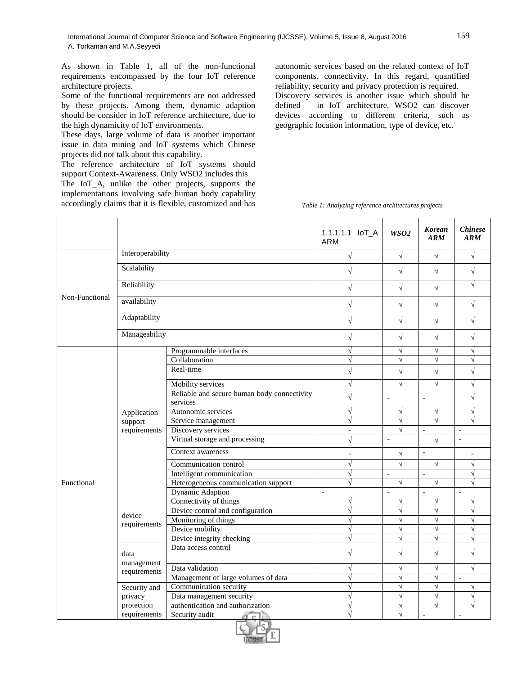As shown in Table 1, all of the non-functional requirements encompassed by the four IoT reference architecture projects.

Some of the functional requirements are not addressed by these projects. Among them, dynamic adaption should be consider in IoT reference architecture, due to the high dynamicity of IoT environments.

These days, large volume of data is another important issue in data mining and IoT systems which Chinese projects did not talk about this capability.

The reference architecture of IoT systems should support Context-Awareness. Only WSO2 includes this

The IoT\_A, unlike the other projects, supports the implementations involving safe human body capability accordingly claims that it is flexible, customized and has autonomic services based on the related context of IoT components. connectivity. In this regard, quantified reliability, security and privacy protection is required. Discovery services is another issue which should be defined in IoT architecture, WSO2 can discover devices according to different criteria, such as geographic location information, type of device, etc.

*Table 1: Analyzing reference architectures projects*

|                |                                        |                                                         | 1.1.1.1.1 IoT_A<br>ARM | WSO <sub>2</sub>         | <b>Korean</b><br><b>ARM</b> | <i>Chinese</i><br>ARM    |
|----------------|----------------------------------------|---------------------------------------------------------|------------------------|--------------------------|-----------------------------|--------------------------|
| Non-Functional | Interoperability                       |                                                         | $\sqrt{2}$             | $\sqrt{ }$               | $\sqrt{ }$                  | $\sqrt{2}$               |
|                | Scalability                            |                                                         | $\sqrt{}$              | $\sqrt{2}$               | $\sqrt{}$                   | $\sqrt{ }$               |
|                | Reliability                            |                                                         | $\sqrt{}$              | $\sqrt{}$                | $\sqrt{ }$                  | $\sqrt{}$                |
|                | availability                           |                                                         | $\sqrt{}$              | $\sqrt{ }$               | $\sqrt{ }$                  | $\sqrt{}$                |
|                | Adaptability                           |                                                         | $\sqrt{}$              | $\sqrt{2}$               | $\sqrt{ }$                  | $\sqrt{}$                |
|                | Manageability                          |                                                         | $\sqrt{}$              | $\sqrt{2}$               | $\sqrt{ }$                  | $\sqrt{2}$               |
| Functional     | Application<br>support<br>requirements | Programmable interfaces                                 | $\sqrt{}$              | $\sqrt{}$                | $\sqrt{ }$                  | $\sqrt{}$                |
|                |                                        | Collaboration                                           | $\sqrt{}$              | $\sqrt{}$                | $\sqrt{}$                   | $\sqrt{}$                |
|                |                                        | Real-time                                               | $\sqrt{}$              | $\sqrt{}$                | $\sqrt{2}$                  | $\sqrt{}$                |
|                |                                        | Mobility services                                       | $\sqrt{}$              | $\sqrt{}$                | $\sqrt{ }$                  | $\sqrt{ }$               |
|                |                                        | Reliable and secure human body connectivity<br>services | $\sqrt{2}$             | $\overline{a}$           | $\overline{a}$              | $\sqrt{2}$               |
|                |                                        | Autonomic services                                      | $\sqrt{}$              | $\sqrt{}$                | $\sqrt{ }$                  | $\sqrt{}$                |
|                |                                        | Service management                                      | $\sqrt{}$              | $\sqrt{}$                | $\sqrt{ }$                  |                          |
|                |                                        | Discovery services                                      | $\equiv$               | $\sqrt{ }$               | $\overline{a}$              | $\overline{a}$           |
|                |                                        | Virtual storage and processing                          | $\sqrt{2}$             | $\overline{\phantom{a}}$ | $\sqrt{2}$                  | $\overline{a}$           |
|                |                                        | Context awareness                                       | $\overline{a}$         | $\sqrt{}$                | $\overline{a}$              |                          |
|                |                                        | Communication control                                   | $\sqrt{}$              | $\sqrt{ }$               | $\sqrt{}$                   | $\sqrt{}$                |
|                |                                        | Intelligent communication                               | $\sqrt{}$              | $\overline{\phantom{a}}$ | $\overline{a}$              | $\sqrt{}$                |
|                |                                        | Heterogeneous communication support                     | $\sqrt{}$              | $\sqrt{ }$               | $\sqrt{ }$                  | $\sqrt{ }$               |
|                |                                        | Dynamic Adaption                                        | $\equiv$               | $\overline{a}$           | $\overline{a}$              | $\overline{a}$           |
|                | device<br>requirements                 | Connectivity of things                                  | $\sqrt{}$              | $\sqrt{}$                | $\sqrt{ }$                  | $\sqrt{}$                |
|                |                                        | Device control and configuration                        | $\sqrt{}$              | $\sqrt{}$                | $\sqrt{}$                   | $\sqrt{}$                |
|                |                                        | Monitoring of things                                    | $\sqrt{}$              | $\sqrt{}$                | $\sqrt{}$                   | $\sqrt{}$                |
|                |                                        | Device mobility                                         | $\sqrt{}$              | $\sqrt{}$                | $\sqrt{ }$                  | $\sqrt{}$                |
|                |                                        | Device integrity checking                               | $\sqrt{}$              | $\sqrt{}$                | $\sqrt{}$                   | $\sqrt{}$                |
|                | data<br>management<br>requirements     | Data access control                                     | $\sqrt{}$              | $\sqrt{2}$               | $\sqrt{ }$                  | $\sqrt{}$                |
|                |                                        | Data validation                                         | $\sqrt{}$              | $\sqrt{}$                | $\sqrt{ }$                  | $\sqrt{}$                |
|                |                                        | Management of large volumes of data                     | $\sqrt{}$              | $\sqrt{}$                | $\sqrt{ }$                  | $\overline{a}$           |
|                | Security and<br>privacy                | Communication security                                  | $\sqrt{}$              | $\sqrt{}$                | $\sqrt{}$                   | $\sqrt{}$                |
|                |                                        | Data management security                                | $\sqrt{}$              | $\sqrt{}$                | $\sqrt{ }$                  | $\sqrt{}$                |
|                | protection                             | authentication and authorization                        | $\sqrt{}$              | $\sqrt{}$                | $\sqrt{}$                   | $\sqrt{}$                |
|                | requirements                           | Security audit<br>$\sqrt{c}$                            | $\sqrt{}$              | $\sqrt{}$                | $\frac{1}{2}$               | $\overline{\phantom{a}}$ |